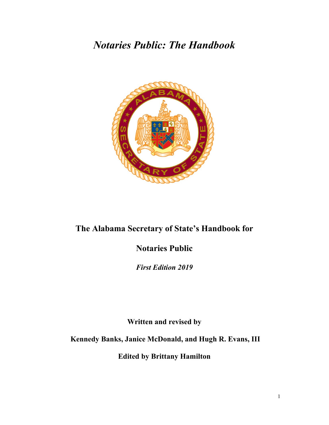# *Notaries Public: The Handbook*



# **The Alabama Secretary of State's Handbook for**

# **Notaries Public**

*First Edition 2019*

**Written and revised by**

**Kennedy Banks, Janice McDonald, and Hugh R. Evans, III**

**Edited by Brittany Hamilton**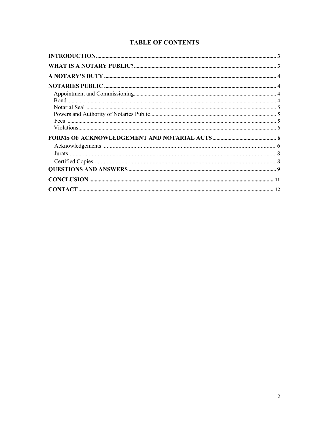# **TABLE OF CONTENTS**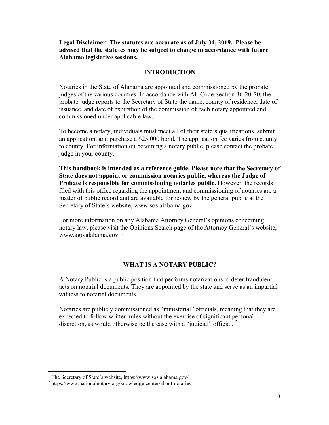**Legal Disclaimer: The statutes are accurate as of July 31, 2019. Please be advised that the statutes may be subject to change in accordance with future Alabama legislative sessions.** 

# **INTRODUCTION**

Notaries in the State of Alabama are appointed and commissioned by the probate judges of the various counties. In accordance with AL Code Section 36-20-70, the probate judge reports to the Secretary of State the name, county of residence, date of issuance, and date of expiration of the commission of each notary appointed and commissioned under applicable law.

To become a notary, individuals must meet all of their state's qualifications, submit an application, and purchase a \$25,000 bond. The application fee varies from county to county. For information on becoming a notary public, please contact the probate judge in your county.

**This handbook is intended as a reference guide. Please note that the Secretary of State does not appoint or commission notaries public, whereas the Judge of Probate is responsible for commissioning notaries public.** However, the records filed with this office regarding the appointment and commissioning of notaries are a matter of public record and are available for review by the general public at the Secretary of State's website, www.sos.alabama.gov.

For more information on any Alabama Attorney General's opinions concerning notary law, please visit the Opinions Search page of the Attorney General's website, www.ago.alabama.gov. $1$ 

#### **WHAT IS A NOTARY PUBLIC?**

A Notary Public is a public position that performs notarizations to deter fraudulent acts on notarial documents. They are appointed by the state and serve as an impartial witness to notarial documents.

Notaries are publicly commissioned as "ministerial" officials, meaning that they are expected to follow written rules without the exercise of significant personal discretion, as would otherwise be the case with a "judicial" official.  $2^{\circ}$  $2^{\circ}$ 

<span id="page-2-0"></span> <sup>1</sup> The Secretary of State's website, https://www.sos.alabama.gov/

<span id="page-2-1"></span><sup>2</sup> https://www.nationalnotary.org/knowledge-center/about-notaries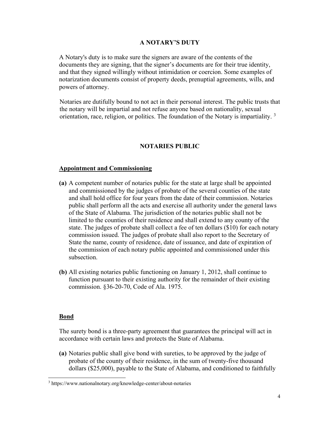# **A NOTARY'S DUTY**

A Notary's duty is to make sure the signers are aware of the contents of the documents they are signing, that the signer's documents are for their true identity, and that they signed willingly without intimidation or coercion. Some examples of notarization documents consist of property deeds, prenuptial agreements, wills, and powers of attorney.

 Notaries are dutifully bound to not act in their personal interest. The public trusts that the notary will be impartial and not refuse anyone based on nationality, sexual orientation, race, religion, or politics. The foundation of the Notary is impartiality.<sup>[3](#page-3-0)</sup>

# **NOTARIES PUBLIC**

#### **Appointment and Commissioning**

- **(a)** A competent number of notaries public for the state at large shall be appointed and commissioned by the judges of probate of the several counties of the state and shall hold office for four years from the date of their commission. Notaries public shall perform all the acts and exercise all authority under the general laws of the State of Alabama. The jurisdiction of the notaries public shall not be limited to the counties of their residence and shall extend to any county of the state. The judges of probate shall collect a fee of ten dollars (\$10) for each notary commission issued. The judges of probate shall also report to the Secretary of State the name, county of residence, date of issuance, and date of expiration of the commission of each notary public appointed and commissioned under this subsection.
- **(b)** All existing notaries public functioning on January 1, 2012, shall continue to function pursuant to their existing authority for the remainder of their existing commission. §36-20-70, Code of Ala. 1975.

#### **Bond**

The surety bond is a three-party agreement that guarantees the principal will act in accordance with certain laws and protects the State of Alabama.

**(a)** Notaries public shall give bond with sureties, to be approved by the judge of probate of the county of their residence, in the sum of twenty-five thousand dollars (\$25,000), payable to the State of Alabama, and conditioned to faithfully

<span id="page-3-0"></span> <sup>3</sup> https://www.nationalnotary.org/knowledge-center/about-notaries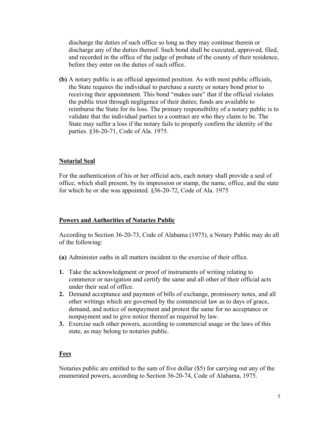discharge the duties of such office so long as they may continue therein or discharge any of the duties thereof. Such bond shall be executed, approved, filed, and recorded in the office of the judge of probate of the county of their residence, before they enter on the duties of such office.

**(b)** A notary public is an official appointed position. As with most public officials, the State requires the individual to purchase a surety or notary bond prior to receiving their appointment. This bond "makes sure" that if the official violates the public trust through negligence of their duties; funds are available to reimburse the State for its loss. The primary responsibility of a notary public is to validate that the individual parties to a contract are who they claim to be. The State may suffer a loss if the notary fails to properly confirm the identity of the parties. §36-20-71, Code of Ala. 1975.

# **Notarial Seal**

For the authentication of his or her official acts, each notary shall provide a seal of office, which shall present, by its impression or stamp, the name, office, and the state for which he or she was appointed. §36-20-72, Code of Ala. 1975

#### **Powers and Authorities of Notaries Public**

According to Section 36-20-73, Code of Alabama (1975), a Notary Public may do all of the following:

- **(a)** Administer oaths in all matters incident to the exercise of their office.
- **1.** Take the acknowledgment or proof of instruments of writing relating to commerce or navigation and certify the same and all other of their official acts under their seal of office.
- **2.** Demand acceptance and payment of bills of exchange, promissory notes, and all other writings which are governed by the commercial law as to days of grace, demand, and notice of nonpayment and protest the same for no acceptance or nonpayment and to give notice thereof as required by law.
- **3.** Exercise such other powers, according to commercial usage or the laws of this state, as may belong to notaries public.

#### **Fees**

Notaries public are entitled to the sum of five dollar (\$5) for carrying out any of the enumerated powers, according to Section 36-20-74, Code of Alabama, 1975.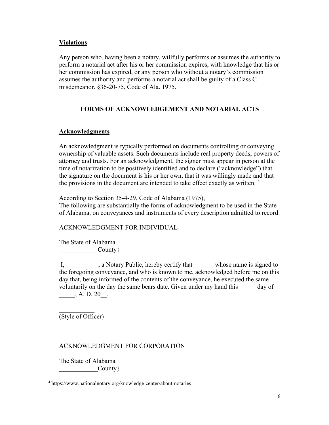# **Violations**

Any person who, having been a notary, willfully performs or assumes the authority to perform a notarial act after his or her commission expires, with knowledge that his or her commission has expired, or any person who without a notary's commission assumes the authority and performs a notarial act shall be guilty of a Class C misdemeanor. §36-20-75, Code of Ala. 1975.

# **FORMS OF ACKNOWLEDGEMENT AND NOTARIAL ACTS**

# **Acknowledgments**

An acknowledgment is typically performed on documents controlling or conveying ownership of valuable assets. Such documents include real property deeds, powers of attorney and trusts. For an acknowledgment, the signer must appear in person at the time of notarization to be positively identified and to declare ("acknowledge") that the signature on the document is his or her own, that it was willingly made and that the provisions in the document are intended to take effect exactly as written.<sup>[4](#page-5-0)</sup>

According to Section 35-4-29, Code of Alabama (1975),

The following are substantially the forms of acknowledgment to be used in the State of Alabama, on conveyances and instruments of every description admitted to record:

ACKNOWLEDGMENT FOR INDIVIDUAL

The State of Alabama  $\begin{array}{ccc} \text{Country} \end{array}$ 

I, \_\_\_\_\_\_\_\_, a Notary Public, hereby certify that \_\_\_\_\_\_\_ whose name is signed to the foregoing conveyance, and who is known to me, acknowledged before me on this day that, being informed of the contents of the conveyance, he executed the same voluntarily on the day the same bears date. Given under my hand this day of  $A. D. 20$ .

 $\frac{1}{2}$ (Style of Officer)

# ACKNOWLEDGMENT FOR CORPORATION

The State of Alabama  $County$ }

<span id="page-5-0"></span> <sup>4</sup> https://www.nationalnotary.org/knowledge-center/about-notaries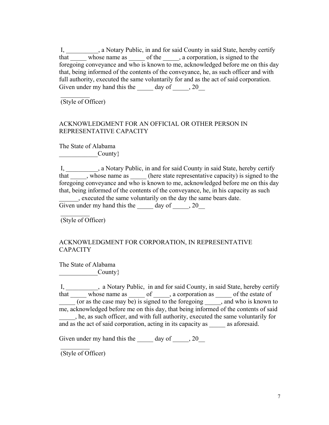I, \_\_\_\_\_\_\_\_\_\_, a Notary Public, in and for said County in said State, hereby certify that whose name as \_\_\_\_\_ of the \_\_\_\_, a corporation, is signed to the foregoing conveyance and who is known to me, acknowledged before me on this day that, being informed of the contents of the conveyance, he, as such officer and with full authority, executed the same voluntarily for and as the act of said corporation. Given under my hand this the  $\qquad \qquad$  day of  $\qquad \qquad$ , 20

(Style of Officer)

 $\frac{1}{2}$ 

# ACKNOWLEDGMENT FOR AN OFFICIAL OR OTHER PERSON IN REPRESENTATIVE CAPACITY

The State of Alabama  $\qquad \qquad \text{Country} \}$ 

I, \_\_\_\_\_\_\_\_\_\_, a Notary Public, in and for said County in said State, hereby certify that \_\_\_\_\_, whose name as \_\_\_\_\_ (here state representative capacity) is signed to the foregoing conveyance and who is known to me, acknowledged before me on this day that, being informed of the contents of the conveyance, he, in his capacity as such \_\_\_\_\_\_, executed the same voluntarily on the day the same bears date. Given under my hand this the  $\_\_\_$  day of  $\_\_\_$ , 20

(Style of Officer)

 $\frac{1}{2}$ 

# ACKNOWLEDGMENT FOR CORPORATION, IN REPRESENTATIVE **CAPACITY**

The State of Alabama  $\begin{array}{ccc} \hline \end{array}$  County  $\}$ 

I, 1. [1] [1] I, a Notary Public, in and for said County, in said State, hereby certify that \_\_\_\_\_\_ whose name as \_\_\_\_\_\_ of \_\_\_\_\_, a corporation as \_\_\_\_\_\_ of the estate of (or as the case may be) is signed to the foregoing same who is known to me, acknowledged before me on this day, that being informed of the contents of said \_\_\_\_\_, he, as such officer, and with full authority, executed the same voluntarily for and as the act of said corporation, acting in its capacity as \_\_\_\_\_\_ as aforesaid.

Given under my hand this the  $\_\_\_$  day of  $\_\_\_$ , 20

(Style of Officer)

 $\frac{1}{2}$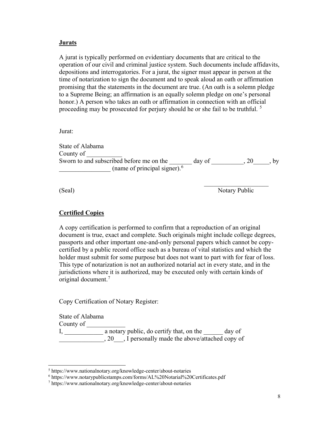#### **Jurats**

A jurat is typically performed on evidentiary documents that are critical to the operation of our civil and criminal justice system. Such documents include affidavits, depositions and interrogatories. For a jurat, the signer must appear in person at the time of notarization to sign the document and to speak aloud an oath or affirmation promising that the statements in the document are true. (An oath is a solemn pledge to a Supreme Being; an affirmation is an equally solemn pledge on one's personal honor.) A person who takes an oath or affirmation in connection with an official proceeding may be prosecuted for perjury should he or she fail to be truthful. <sup>[5](#page-7-0)</sup>

Jurat:

State of Alabama County of Sworn to and subscribed before me on the  $\frac{1}{2}$  day of  $\frac{1}{2}$ , 20, by \_\_\_\_\_\_\_\_\_\_\_\_\_\_\_\_ (name of principal signer).[6](#page-7-1)

 $\mathcal{L}_\text{max}$  , which is a set of the set of the set of the set of the set of the set of the set of the set of the set of the set of the set of the set of the set of the set of the set of the set of the set of the set of

(Seal) Notary Public

# **Certified Copies**

A copy certification is performed to confirm that a reproduction of an original document is true, exact and complete. Such originals might include college degrees, passports and other important one-and-only personal papers which cannot be copycertified by a public record office such as a bureau of vital statistics and which the holder must submit for some purpose but does not want to part with for fear of loss. This type of notarization is not an authorized notarial act in every state, and in the jurisdictions where it is authorized, may be executed only with certain kinds of original document.[7](#page-7-2)

Copy Certification of Notary Register:

State of Alabama County of \_\_\_\_\_\_\_\_\_\_\_\_  $I, \underline{\hspace{2cm}}$  a notary public, do certify that, on the  $\underline{\hspace{2cm}}$  day of \_\_\_\_\_\_\_\_\_\_\_\_\_\_, 20\_\_\_, I personally made the above/attached copy of

<span id="page-7-0"></span> <sup>5</sup> https://www.nationalnotary.org/knowledge-center/about-notaries

<span id="page-7-1"></span><sup>6</sup> https://www.notarypublicstamps.com/forms/AL%20Notarial%20Certificates.pdf

<span id="page-7-2"></span><sup>7</sup> https://www.nationalnotary.org/knowledge-center/about-notaries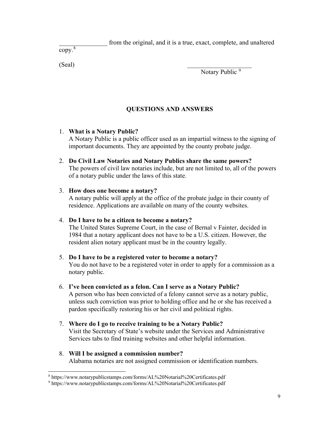from the original, and it is a true, exact, complete, and unaltered

copy.[8](#page-8-0)

 $(Seal)$ 

Notary Public<sup>[9](#page-8-1)</sup>

# **QUESTIONS AND ANSWERS**

# 1. **What is a Notary Public?**

A Notary Public is a public officer used as an impartial witness to the signing of important documents. They are appointed by the county probate judge.

2. **Do Civil Law Notaries and Notary Publics share the same powers?**  The powers of civil law notaries include, but are not limited to, all of the powers of a notary public under the laws of this state.

# 3. **How does one become a notary?**

A notary public will apply at the office of the probate judge in their county of residence. Applications are available on many of the county websites.

# 4. **Do I have to be a citizen to become a notary?**

The United States Supreme Court, in the case of Bernal v Fainter, decided in 1984 that a notary applicant does not have to be a U.S. citizen. However, the resident alien notary applicant must be in the country legally.

# 5. **Do I have to be a registered voter to become a notary?**

You do not have to be a registered voter in order to apply for a commission as a notary public.

# 6. **I've been convicted as a felon. Can I serve as a Notary Public?**

A person who has been convicted of a felony cannot serve as a notary public, unless such conviction was prior to holding office and he or she has received a pardon specifically restoring his or her civil and political rights.

7. **Where do I go to receive training to be a Notary Public?**  Visit the Secretary of State's website under the Services and Administrative Services tabs to find training websites and other helpful information.

# 8. **Will I be assigned a commission number?**  Alabama notaries are not assigned commission or identification numbers.

<span id="page-8-0"></span> <sup>8</sup> https://www.notarypublicstamps.com/forms/AL%20Notarial%20Certificates.pdf

<span id="page-8-1"></span><sup>9</sup> https://www.notarypublicstamps.com/forms/AL%20Notarial%20Certificates.pdf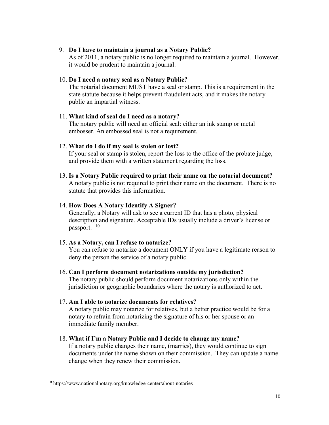#### 9. **Do I have to maintain a journal as a Notary Public?**

As of 2011, a notary public is no longer required to maintain a journal. However, it would be prudent to maintain a journal.

#### 10. **Do I need a notary seal as a Notary Public?**

The notarial document MUST have a seal or stamp. This is a requirement in the state statute because it helps prevent fraudulent acts, and it makes the notary public an impartial witness.

# 11. **What kind of seal do I need as a notary?**

The notary public will need an official seal: either an ink stamp or metal embosser. An embossed seal is not a requirement.

# 12. **What do I do if my seal is stolen or lost?**

If your seal or stamp is stolen, report the loss to the office of the probate judge, and provide them with a written statement regarding the loss.

# 13. **Is a Notary Public required to print their name on the notarial document?**

A notary public is not required to print their name on the document. There is no statute that provides this information.

# 14. **How Does A Notary Identify A Signer?**

Generally, a Notary will ask to see a current ID that has a photo, physical description and signature. Acceptable IDs usually include a driver's license or passport. [10](#page-9-0)

# 15. **As a Notary, can I refuse to notarize?**

You can refuse to notarize a document ONLY if you have a legitimate reason to deny the person the service of a notary public.

# 16. **Can I perform document notarizations outside my jurisdiction?**

The notary public should perform document notarizations only within the jurisdiction or geographic boundaries where the notary is authorized to act.

# 17. **Am I able to notarize documents for relatives?**

A notary public may notarize for relatives, but a better practice would be for a notary to refrain from notarizing the signature of his or her spouse or an immediate family member.

# 18. **What if I'm a Notary Public and I decide to change my name?**

If a notary public changes their name, (marries), they would continue to sign documents under the name shown on their commission. They can update a name change when they renew their commission.

<span id="page-9-0"></span> <sup>10</sup> https://www.nationalnotary.org/knowledge-center/about-notaries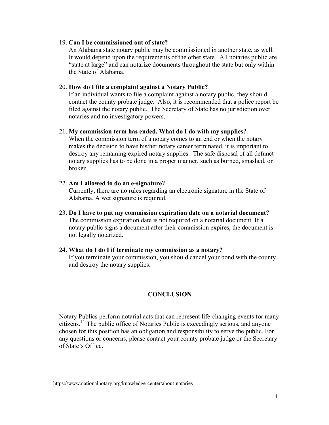#### 19. **Can I be commissioned out of state?**

An Alabama state notary public may be commissioned in another state, as well. It would depend upon the requirements of the other state. All notaries public are "state at large" and can notarize documents throughout the state but only within the State of Alabama.

#### 20. **How do I file a complaint against a Notary Public?**

If an individual wants to file a complaint against a notary public, they should contact the county probate judge. Also, it is recommended that a police report be filed against the notary public. The Secretary of State has no jurisdiction over notaries and no investigatory powers.

#### 21. **My commission term has ended. What do I do with my supplies?**

When the commission term of a notary comes to an end or when the notary makes the decision to have his/her notary career terminated, it is important to destroy any remaining expired notary supplies. The safe disposal of all defunct notary supplies has to be done in a proper manner, such as burned, smashed, or broken.

#### 22. **Am I allowed to do an e-signature?**

Currently, there are no rules regarding an electronic signature in the State of Alabama. A wet signature is required.

- 23. **Do I have to put my commission expiration date on a notarial document?**  The commission expiration date is not required on a notarial document. If a notary public signs a document after their commission expires, the document is not legally notarized.
- 24. **What do I do I if terminate my commission as a notary?**  If you terminate your commission, you should cancel your bond with the county and destroy the notary supplies.

#### **CONCLUSION**

Notary Publics perform notarial acts that can represent life-changing events for many citizens.[11](#page-10-0) The public office of Notaries Public is exceedingly serious, and anyone chosen for this position has an obligation and responsibility to serve the public. For any questions or concerns, please contact your county probate judge or the Secretary of State's Office.

<span id="page-10-0"></span> <sup>11</sup> https://www.nationalnotary.org/knowledge-center/about-notaries